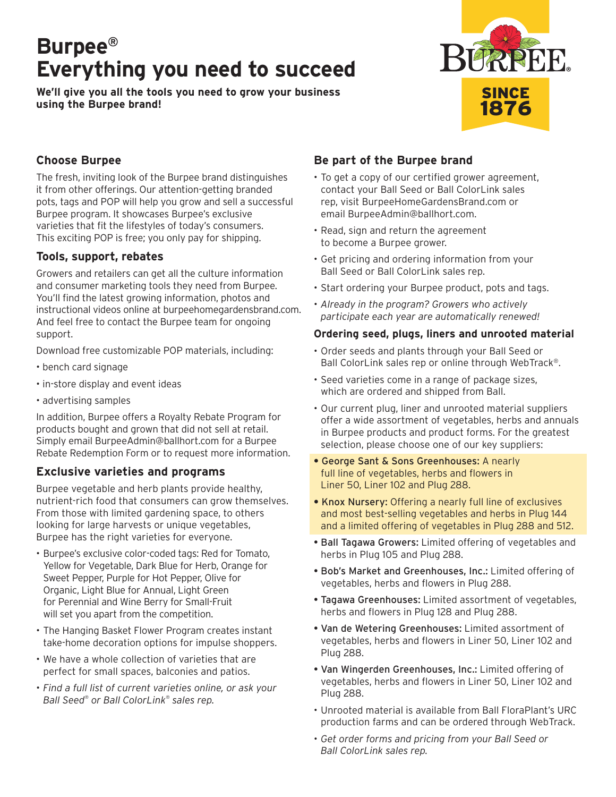# **Burpee® Everything you need to succeed**

**We'll give you all the tools you need to grow your business using the Burpee brand!**



## **Choose Burpee**

The fresh, inviting look of the Burpee brand distinguishes it from other offerings. Our attention-getting branded pots, tags and POP will help you grow and sell a successful Burpee program. It showcases Burpee's exclusive varieties that fit the lifestyles of today's consumers. This exciting POP is free; you only pay for shipping.

#### **Tools, support, rebates**

Growers and retailers can get all the culture information and consumer marketing tools they need from Burpee. You'll find the latest growing information, photos and instructional videos online at burpeehomegardensbrand.com. And feel free to contact the Burpee team for ongoing support.

Download free customizable POP materials, including:

- bench card signage
- in-store display and event ideas
- advertising samples

In addition, Burpee offers a Royalty Rebate Program for products bought and grown that did not sell at retail. Simply email BurpeeAdmin@ballhort.com for a Burpee Rebate Redemption Form or to request more information.

#### **Exclusive varieties and programs**

Burpee vegetable and herb plants provide healthy, nutrient-rich food that consumers can grow themselves. From those with limited gardening space, to others looking for large harvests or unique vegetables, Burpee has the right varieties for everyone.

- Burpee's exclusive color-coded tags: Red for Tomato, Yellow for Vegetable, Dark Blue for Herb, Orange for Sweet Pepper, Purple for Hot Pepper, Olive for Organic, Light Blue for Annual, Light Green for Perennial and Wine Berry for Small-Fruit will set you apart from the competition.
- The Hanging Basket Flower Program creates instant take-home decoration options for impulse shoppers.
- We have a whole collection of varieties that are perfect for small spaces, balconies and patios.
- *Find a full list of current varieties online, or ask your Ball Seed® or Ball ColorLink® sales rep.*

# **Be part of the Burpee brand**

- To get a copy of our certified grower agreement, contact your Ball Seed or Ball ColorLink sales rep, visit BurpeeHomeGardensBrand.com or email BurpeeAdmin@ballhort.com.
- Read, sign and return the agreement to become a Burpee grower.
- Get pricing and ordering information from your Ball Seed or Ball ColorLink sales rep.
- Start ordering your Burpee product, pots and tags.
- *Already in the program? Growers who actively participate each year are automatically renewed!*

## **Ordering seed, plugs, liners and unrooted material**

- Order seeds and plants through your Ball Seed or Ball ColorLink sales rep or online through WebTrack®.
- Seed varieties come in a range of package sizes, which are ordered and shipped from Ball.
- Our current plug, liner and unrooted material suppliers offer a wide assortment of vegetables, herbs and annuals in Burpee products and product forms. For the greatest selection, please choose one of our key suppliers:
- George Sant & Sons Greenhouses: A nearly full line of vegetables, herbs and flowers in Liner 50, Liner 102 and Plug 288.
- Knox Nursery: Offering a nearly full line of exclusives and most best-selling vegetables and herbs in Plug 144 and a limited offering of vegetables in Plug 288 and 512.
- Ball Tagawa Growers: Limited offering of vegetables and herbs in Plug 105 and Plug 288.
- Bob's Market and Greenhouses, Inc.: Limited offering of vegetables, herbs and flowers in Plug 288.
- Tagawa Greenhouses: Limited assortment of vegetables, herbs and flowers in Plug 128 and Plug 288.
- Van de Wetering Greenhouses: Limited assortment of vegetables, herbs and flowers in Liner 50, Liner 102 and Plug 288.
- Van Wingerden Greenhouses, Inc.: Limited offering of vegetables, herbs and flowers in Liner 50, Liner 102 and Plug 288.
- Unrooted material is available from Ball FloraPlant's URC production farms and can be ordered through WebTrack.
- *Get order forms and pricing from your Ball Seed or Ball ColorLink sales rep.*